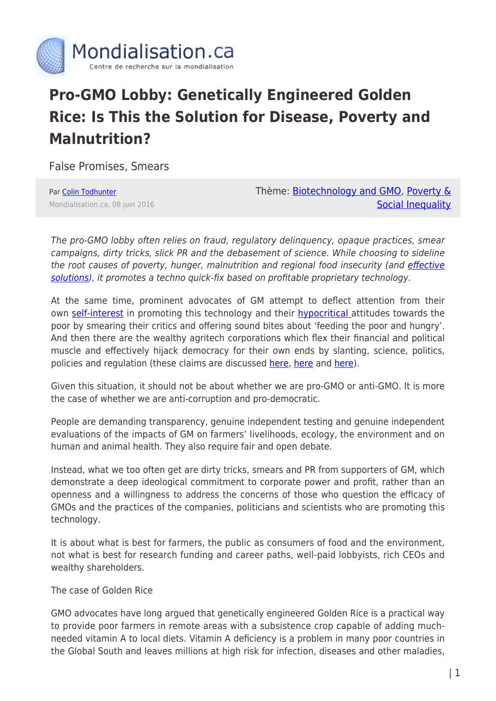

## **Pro-GMO Lobby: Genetically Engineered Golden Rice: Is This the Solution for Disease, Poverty and Malnutrition?**

False Promises, Smears

Par [Colin Todhunter](https://www.mondialisation.ca/author/colin-todhunter) Mondialisation.ca, 08 juin 2016 Thème: [Biotechnology and GMO,](https://www.mondialisation.ca/theme/biotechnology-and-gmo) [Poverty &](https://www.mondialisation.ca/theme/poverty-social-inequality) [Social Inequality](https://www.mondialisation.ca/theme/poverty-social-inequality)

The pro-GMO lobby often relies on fraud, regulatory delinquency, opaque practices, smear campaigns, dirty tricks, slick PR and the debasement of science. While choosing to sideline the root causes of poverty, hunger, malnutrition and regional food insecurity (and [effective](http://truepublica.org.uk/global/global-agribusiness-dependency-marginalisation-self-sufficiency-organic-farming/) [solutions\)](http://truepublica.org.uk/global/global-agribusiness-dependency-marginalisation-self-sufficiency-organic-farming/), it promotes a techno quick-fix based on profitable proprietary technology.

At the same time, prominent advocates of GM attempt to deflect attention from their own [self-interest](http://www.counterpunch.org/2016/05/30/from-albrecht-to-monsanto-a-system-not-run-for-the-public-good-can-never-serve-the-public-good/) in promoting this technology and their [hypocritical a](http://www.counterpunch.org/2015/06/19/neil-young-is-starving-the-poor/)ttitudes towards the poor by smearing their critics and offering sound bites about 'feeding the poor and hungry'. And then there are the wealthy agritech corporations which flex their financial and political muscle and effectively hijack democracy for their own ends by slanting, science, politics, policies and regulation (these claims are discussed [here,](http://www.theecologist.org/News/news_analysis/2986738/claiming_to_represent_science_the_global_gmo_industry_is_built_on_fear_fraud_and_corruption.html) [here](http://www.theecologist.org/News/news_analysis/2986674/indias_top_gmo_regulators_contempt_of_court_over_gm_mustard_trials.html) and [here](http://www.counterpunch.org/2015/02/27/monsanto-wants-to-know-why-people-doubt-science/)).

Given this situation, it should not be about whether we are pro-GMO or anti-GMO. It is more the case of whether we are anti-corruption and pro-democratic.

People are demanding transparency, genuine independent testing and genuine independent evaluations of the impacts of GM on farmers' livelihoods, ecology, the environment and on human and animal health. They also require fair and open debate.

Instead, what we too often get are dirty tricks, smears and PR from supporters of GM, which demonstrate a deep ideological commitment to corporate power and profit, rather than an openness and a willingness to address the concerns of those who question the efficacy of GMOs and the practices of the companies, politicians and scientists who are promoting this technology.

It is about what is best for farmers, the public as consumers of food and the environment, not what is best for research funding and career paths, well-paid lobbyists, rich CEOs and wealthy shareholders.

The case of Golden Rice

GMO advocates have long argued that genetically engineered Golden Rice is a practical way to provide poor farmers in remote areas with a subsistence crop capable of adding muchneeded vitamin A to local diets. Vitamin A deficiency is a problem in many poor countries in the Global South and leaves millions at high risk for infection, diseases and other maladies,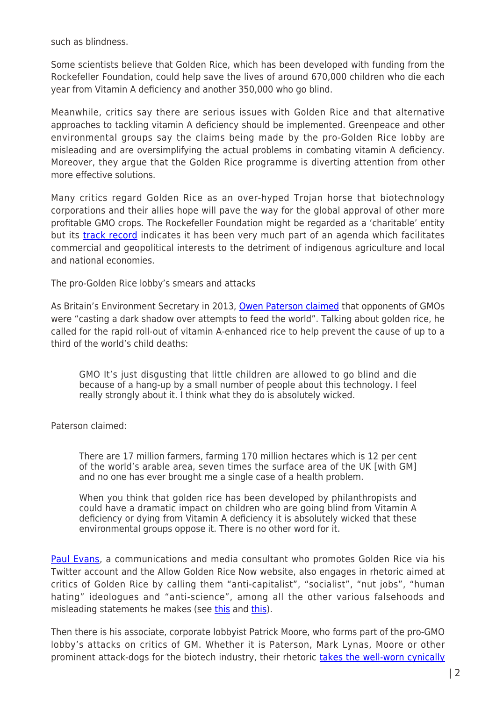such as blindness.

Some scientists believe that Golden Rice, which has been developed with funding from the Rockefeller Foundation, could help save the lives of around 670,000 children who die each year from Vitamin A deficiency and another 350,000 who go blind.

Meanwhile, critics say there are serious issues with Golden Rice and that alternative approaches to tackling vitamin A deficiency should be implemented. Greenpeace and other environmental groups say the claims being made by the pro-Golden Rice lobby are misleading and are oversimplifying the actual problems in combating vitamin A deficiency. Moreover, they argue that the Golden Rice programme is diverting attention from other more effective solutions.

Many critics regard Golden Rice as an over-hyped Trojan horse that biotechnology corporations and their allies hope will pave the way for the global approval of other more profitable GMO crops. The Rockefeller Foundation might be regarded as a 'charitable' entity but its [track record](https://www.nexusmagazine.com/articles/doc_view/88-sowing-the-seeds-of-destruction-part-1) indicates it has been very much part of an agenda which facilitates commercial and geopolitical interests to the detriment of indigenous agriculture and local and national economies.

The pro-Golden Rice lobby's smears and attacks

As Britain's Environment Secretary in 2013, [Owen Paterson claimed](http://www.independent.co.uk/news/uk/politics/opponents-of-third-world-gm-crops-are-wicked-says-environment-secretary-owen-paterson-8877634.html) that opponents of GMOs were "casting a dark shadow over attempts to feed the world". Talking about golden rice, he called for the rapid roll-out of vitamin A-enhanced rice to help prevent the cause of up to a third of the world's child deaths:

GMO It's just disgusting that little children are allowed to go blind and die because of a hang-up by a small number of people about this technology. I feel really strongly about it. I think what they do is absolutely wicked.

Paterson claimed:

There are 17 million farmers, farming 170 million hectares which is 12 per cent of the world's arable area, seven times the surface area of the UK [with GM] and no one has ever brought me a single case of a health problem.

When you think that golden rice has been developed by philanthropists and could have a dramatic impact on children who are going blind from Vitamin A deficiency or dying from Vitamin A deficiency it is absolutely wicked that these environmental groups oppose it. There is no other word for it.

[Paul Evans,](https://au.linkedin.com/in/paul-evans-47338275) a communications and media consultant who promotes Golden Rice via his Twitter account and the Allow Golden Rice Now website, also engages in rhetoric aimed at critics of Golden Rice by calling them "anti-capitalist", "socialist", "nut jobs", "human hating" ideologues and "anti-science", among all the other various falsehoods and misleading statements he makes (see [this](https://twitter.com/search?q=%40paulevans18%20socialists&src=typd) and this).

Then there is his associate, corporate lobbyist Patrick Moore, who forms part of the pro-GMO lobby's attacks on critics of GM. Whether it is Paterson, Mark Lynas, Moore or other prominent attack-dogs for the biotech industry, their rhetoric [takes the well-worn cynically](http://www.spinwatch.org/index.php/issues/science/item/5490-the-repentant-environmentalist-part-3)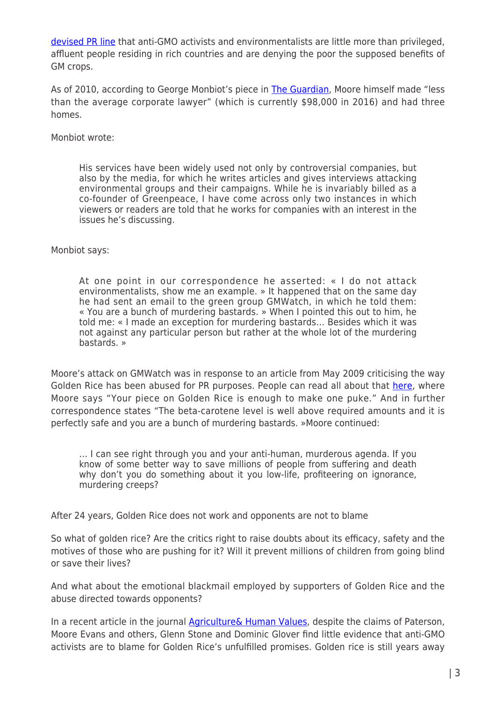[devised PR line](http://www.spinwatch.org/index.php/issues/science/item/5490-the-repentant-environmentalist-part-3) that anti-GMO activists and environmentalists are little more than privileged, affluent people residing in rich countries and are denying the poor the supposed benefits of GM crops.

As of 2010, according to George Monbiot's piece in [The Guardian,](http://www.theguardian.com/environment/georgemonbiot/2010/dec/02/sumatra-rainforest-destruction-patrick-moore) Moore himself made "less than the average corporate lawyer" (which is currently \$98,000 in 2016) and had three homes.

Monbiot wrote:

His services have been widely used not only by controversial companies, but also by the media, for which he writes articles and gives interviews attacking environmental groups and their campaigns. While he is invariably billed as a co-founder of Greenpeace, I have come across only two instances in which viewers or readers are told that he works for companies with an interest in the issues he's discussing.

## Monbiot says:

At one point in our correspondence he asserted: « I do not attack environmentalists, show me an example. » It happened that on the same day he had sent an email to the green group GMWatch, in which he told them: « You are a bunch of murdering bastards. » When I pointed this out to him, he told me: « I made an exception for murdering bastards… Besides which it was not against any particular person but rather at the whole lot of the murdering bastards. »

Moore's attack on GMWatch was in response to an article from May 2009 criticising the way Golden Rice has been abused for PR purposes. People can read all about that [here](http://www.gmwatch.org/golden-rice-could-save-a-million-kids-a-year?id=12932), where Moore says "Your piece on Golden Rice is enough to make one puke." And in further correspondence states "The beta-carotene level is well above required amounts and it is perfectly safe and you are a bunch of murdering bastards. »Moore continued:

… I can see right through you and your anti-human, murderous agenda. If you know of some better way to save millions of people from suffering and death why don't you do something about it you low-life, profiteering on ignorance, murdering creeps?

After 24 years, Golden Rice does not work and opponents are not to blame

So what of golden rice? Are the critics right to raise doubts about its efficacy, safety and the motives of those who are pushing for it? Will it prevent millions of children from going blind or save their lives?

And what about the emotional blackmail employed by supporters of Golden Rice and the abuse directed towards opponents?

In a recent article in the journal **Agriculture& Human Values**, despite the claims of Paterson, Moore Evans and others, Glenn Stone and Dominic Glover find little evidence that anti-GMO activists are to blame for Golden Rice's unfulfilled promises. Golden rice is still years away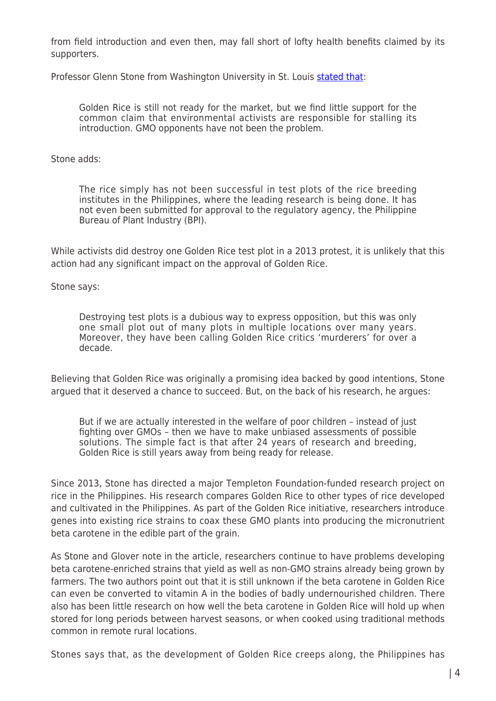from field introduction and even then, may fall short of lofty health benefits claimed by its supporters.

Professor Glenn Stone from Washington University in St. Louis [stated that](http://phys.org/news/2016-06-genetically-golden-rice-falls-short.html):

Golden Rice is still not ready for the market, but we find little support for the common claim that environmental activists are responsible for stalling its introduction. GMO opponents have not been the problem.

Stone adds:

The rice simply has not been successful in test plots of the rice breeding institutes in the Philippines, where the leading research is being done. It has not even been submitted for approval to the regulatory agency, the Philippine Bureau of Plant Industry (BPI).

While activists did destroy one Golden Rice test plot in a 2013 protest, it is unlikely that this action had any significant impact on the approval of Golden Rice.

Stone says:

Destroying test plots is a dubious way to express opposition, but this was only one small plot out of many plots in multiple locations over many years. Moreover, they have been calling Golden Rice critics 'murderers' for over a decade.

Believing that Golden Rice was originally a promising idea backed by good intentions, Stone argued that it deserved a chance to succeed. But, on the back of his research, he argues:

But if we are actually interested in the welfare of poor children – instead of just fighting over GMOs – then we have to make unbiased assessments of possible solutions. The simple fact is that after 24 years of research and breeding, Golden Rice is still years away from being ready for release.

Since 2013, Stone has directed a major Templeton Foundation-funded research project on rice in the Philippines. His research compares Golden Rice to other types of rice developed and cultivated in the Philippines. As part of the Golden Rice initiative, researchers introduce genes into existing rice strains to coax these GMO plants into producing the micronutrient beta carotene in the edible part of the grain.

As Stone and Glover note in the article, researchers continue to have problems developing beta carotene-enriched strains that yield as well as non-GMO strains already being grown by farmers. The two authors point out that it is still unknown if the beta carotene in Golden Rice can even be converted to vitamin A in the bodies of badly undernourished children. There also has been little research on how well the beta carotene in Golden Rice will hold up when stored for long periods between harvest seasons, or when cooked using traditional methods common in remote rural locations.

Stones says that, as the development of Golden Rice creeps along, the Philippines has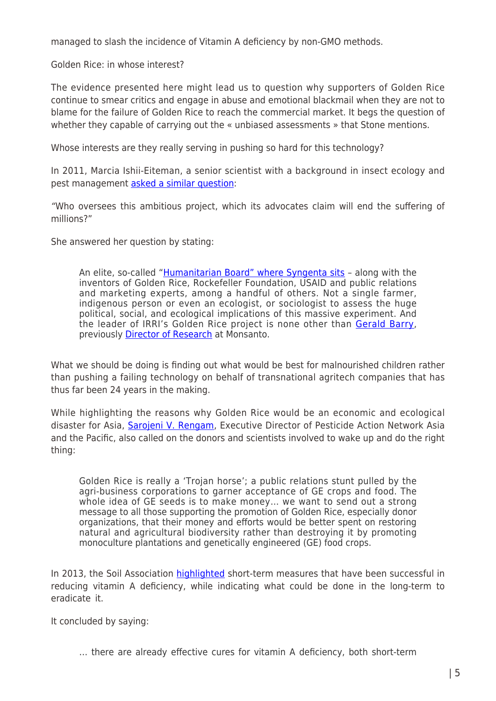managed to slash the incidence of Vitamin A deficiency by non-GMO methods.

Golden Rice: in whose interest?

The evidence presented here might lead us to question why supporters of Golden Rice continue to smear critics and engage in abuse and emotional blackmail when they are not to blame for the failure of Golden Rice to reach the commercial market. It begs the question of whether they capable of carrying out the « unbiased assessments » that Stone mentions.

Whose interests are they really serving in pushing so hard for this technology?

In 2011, Marcia Ishii-Eiteman, a senior scientist with a background in insect ecology and pest management [asked a similar question:](http://www.panna.org/blog/golden-rice-or-trojan-horse)

"Who oversees this ambitious project, which its advocates claim will end the suffering of millions?"

She answered her question by stating:

An elite, so-called "[Humanitarian Board" where Syngenta sits](http://www.goldenrice.org/Content1-Who/who1_humbo.html) – along with the inventors of Golden Rice, Rockefeller Foundation, USAID and public relations and marketing experts, among a handful of others. Not a single farmer, indigenous person or even an ecologist, or sociologist to assess the huge political, social, and ecological implications of this massive experiment. And the leader of IRRI's Golden Rice project is none other than [Gerald Barry](http://www.goldenrice.org/Content1-Who/who_Gerard.html), previously [Director of Research](http://www.lobbywatch.org/profile1.asp?PrId=294) at Monsanto.

What we should be doing is finding out what would be best for malnourished children rather than pushing a failing technology on behalf of transnational agritech companies that has thus far been 24 years in the making.

While highlighting the reasons why Golden Rice would be an economic and ecological disaster for Asia, **Sarojeni V. Rengam**, Executive Director of Pesticide Action Network Asia and the Pacific, also called on the donors and scientists involved to wake up and do the right thing:

Golden Rice is really a 'Trojan horse'; a public relations stunt pulled by the agri-business corporations to garner acceptance of GE crops and food. The whole idea of GE seeds is to make money… we want to send out a strong message to all those supporting the promotion of Golden Rice, especially donor organizations, that their money and efforts would be better spent on restoring natural and agricultural biodiversity rather than destroying it by promoting monoculture plantations and genetically engineered (GE) food crops.

In 2013, the Soil Association [highlighted](http://www.gmwatch.org/news/archive/2013/15115-new-briefing-on-golden-rice-shows-many-better-alternatives) short-term measures that have been successful in reducing vitamin A deficiency, while indicating what could be done in the long-term to eradicate it.

It concluded by saying:

… there are already effective cures for vitamin A deficiency, both short-term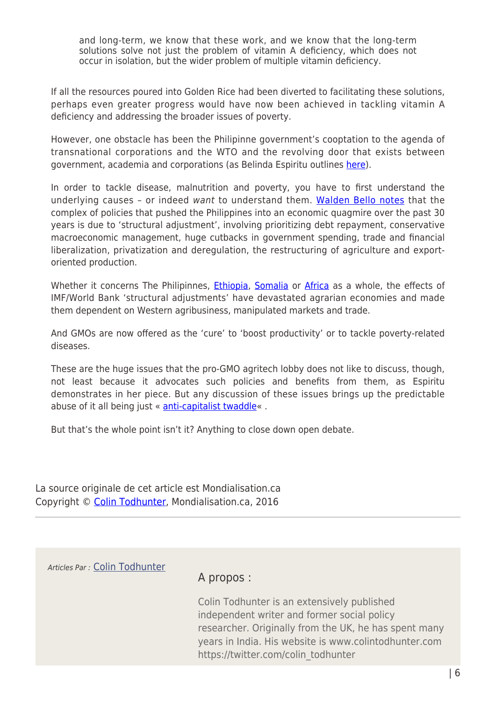and long-term, we know that these work, and we know that the long-term solutions solve not just the problem of vitamin A deficiency, which does not occur in isolation, but the wider problem of multiple vitamin deficiency.

If all the resources poured into Golden Rice had been diverted to facilitating these solutions, perhaps even greater progress would have now been achieved in tackling vitamin A deficiency and addressing the broader issues of poverty.

However, one obstacle has been the Philipinne government's cooptation to the agenda of transnational corporations and the WTO and the revolving door that exists between government, academia and corporations (as Belinda Espiritu outlines [here\)](http://www.globalresearch.ca/the-battle-against-gmos-in-the-philippines-confronting-wto-towards-mainstreaming-sustainable-agriculture-in-the-country/5463069).

In order to tackle disease, malnutrition and poverty, you have to first understand the underlying causes – or indeed want to understand them. [Walden Bello notes](https://bernemabalay.wordpress.com/2014/09/17/a-critical-reflection-on-neoliberal-globalization-in-the-philippines/#_ftn63) that the complex of policies that pushed the Philippines into an economic quagmire over the past 30 years is due to 'structural adjustment', involving prioritizing debt repayment, conservative macroeconomic management, huge cutbacks in government spending, trade and financial liberalization, privatization and deregulation, the restructuring of agriculture and exportoriented production.

Whether it concerns The Philipinnes, *[Ethiopia](http://www.globalresearch.ca/sowing-the-seeds-of-famine-in-ethiopia/366)*, [Somalia](http://www.globalresearch.ca/somalia-the-real-causes-of-famine/25725) or [Africa](http://www.worldhunger.org/opinions/bello_afag/) as a whole, the effects of IMF/World Bank 'structural adjustments' have devastated agrarian economies and made them dependent on Western agribusiness, manipulated markets and trade.

And GMOs are now offered as the 'cure' to 'boost productivity' or to tackle poverty-related diseases.

These are the huge issues that the pro-GMO agritech lobby does not like to discuss, though, not least because it advocates such policies and benefits from them, as Espiritu demonstrates in her piece. But any discussion of these issues brings up the predictable abuse of it all being just « [anti-capitalist twaddle](https://twitter.com/search?q=%22anti-capitalist%20twaddle%22&src=typd)« .

But that's the whole point isn't it? Anything to close down open debate.

La source originale de cet article est Mondialisation.ca Copyright © [Colin Todhunter](https://www.mondialisation.ca/author/colin-todhunter), Mondialisation.ca, 2016

Articles Par : [Colin Todhunter](https://www.mondialisation.ca/author/colin-todhunter)

## A propos :

Colin Todhunter is an extensively published independent writer and former social policy researcher. Originally from the UK, he has spent many years in India. His website is www.colintodhunter.com https://twitter.com/colin\_todhunter